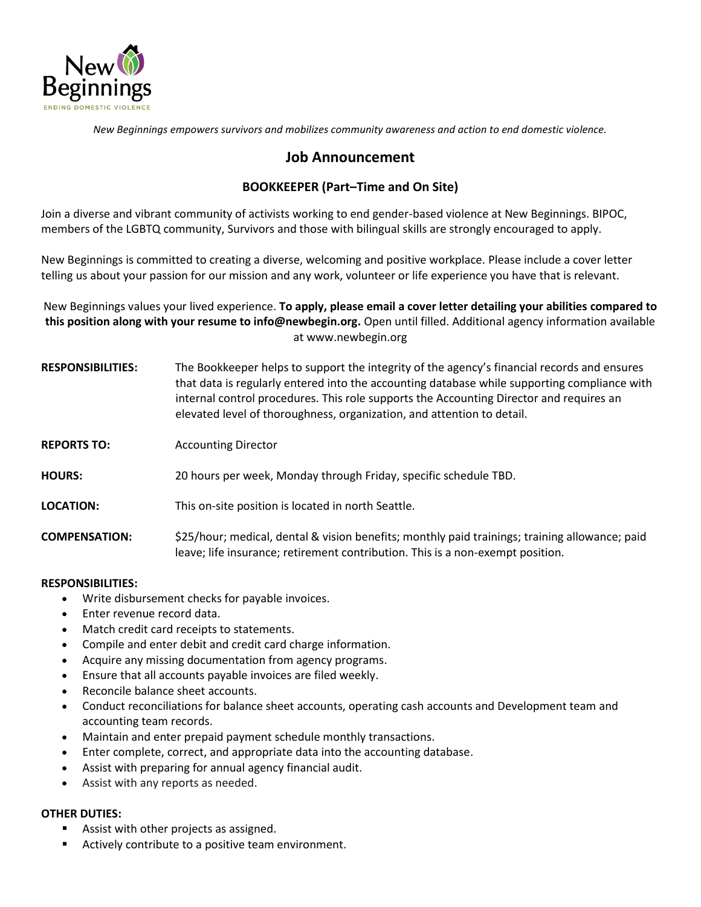

*New Beginnings empowers survivors and mobilizes community awareness and action to end domestic violence.*

# **Job Announcement**

## **BOOKKEEPER (Part–Time and On Site)**

Join a diverse and vibrant community of activists working to end gender-based violence at New Beginnings. BIPOC, members of the LGBTQ community, Survivors and those with bilingual skills are strongly encouraged to apply.

New Beginnings is committed to creating a diverse, welcoming and positive workplace. Please include a cover letter telling us about your passion for our mission and any work, volunteer or life experience you have that is relevant.

New Beginnings values your lived experience. **To apply, please email a cover letter detailing your abilities compared to this position along with your resume to info@newbegin.org.** Open until filled. Additional agency information available at www.newbegin.org

- **RESPONSIBILITIES:** The Bookkeeper helps to support the integrity of the agency's financial records and ensures that data is regularly entered into the accounting database while supporting compliance with internal control procedures. This role supports the Accounting Director and requires an elevated level of thoroughness, organization, and attention to detail.
- **REPORTS TO:** Accounting Director
- **HOURS:** 20 hours per week, Monday through Friday, specific schedule TBD.
- **LOCATION:** This on-site position is located in north Seattle.

**COMPENSATION:** \$25/hour; medical, dental & vision benefits; monthly paid trainings; training allowance; paid leave; life insurance; retirement contribution. This is a non-exempt position.

### **RESPONSIBILITIES:**

- Write disbursement checks for payable invoices.
- Enter revenue record data.
- Match credit card receipts to statements.
- Compile and enter debit and credit card charge information.
- Acquire any missing documentation from agency programs.
- Ensure that all accounts payable invoices are filed weekly.
- Reconcile balance sheet accounts.
- Conduct reconciliations for balance sheet accounts, operating cash accounts and Development team and accounting team records.
- Maintain and enter prepaid payment schedule monthly transactions.
- Enter complete, correct, and appropriate data into the accounting database.
- Assist with preparing for annual agency financial audit.
- Assist with any reports as needed.

### **OTHER DUTIES:**

- Assist with other projects as assigned.
- Actively contribute to a positive team environment.